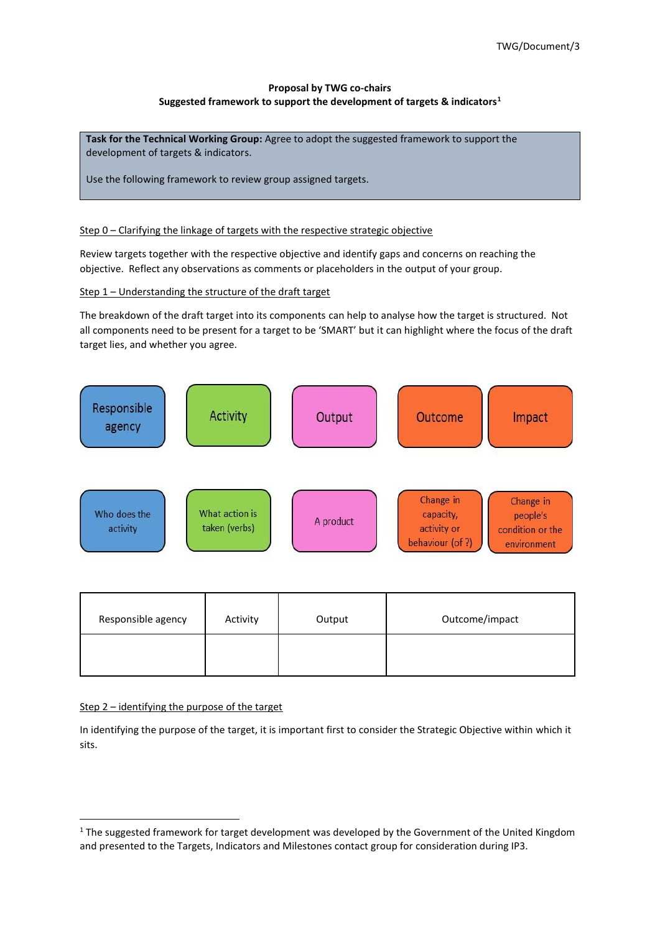# **Proposal by TWG co-chairs Suggested framework to support the development of targets & indicators<sup>1</sup>**

**Task for the Technical Working Group:** Agree to adopt the suggested framework to support the development of targets & indicators.

Use the following framework to review group assigned targets.

### Step 0 - Clarifying the linkage of targets with the respective strategic objective

Review targets together with the respective objective and identify gaps and concerns on reaching the objective. Reflect any observations as comments or placeholders in the output of your group.

Step 1 – Understanding the structure of the draft target

The breakdown of the draft target into its components can help to analyse how the target is structured. Not all components need to be present for a target to be 'SMART' but it can highlight where the focus of the draft target lies, and whether you agree.



| Responsible agency | Activity | Output | Outcome/impact |
|--------------------|----------|--------|----------------|
|                    |          |        |                |

### Step 2 – identifying the purpose of the target

In identifying the purpose of the target, it is important first to consider the Strategic Objective within which it sits.

 $1$  The suggested framework for target development was developed by the Government of the United Kingdom and presented to the Targets, Indicators and Milestones contact group for consideration during IP3.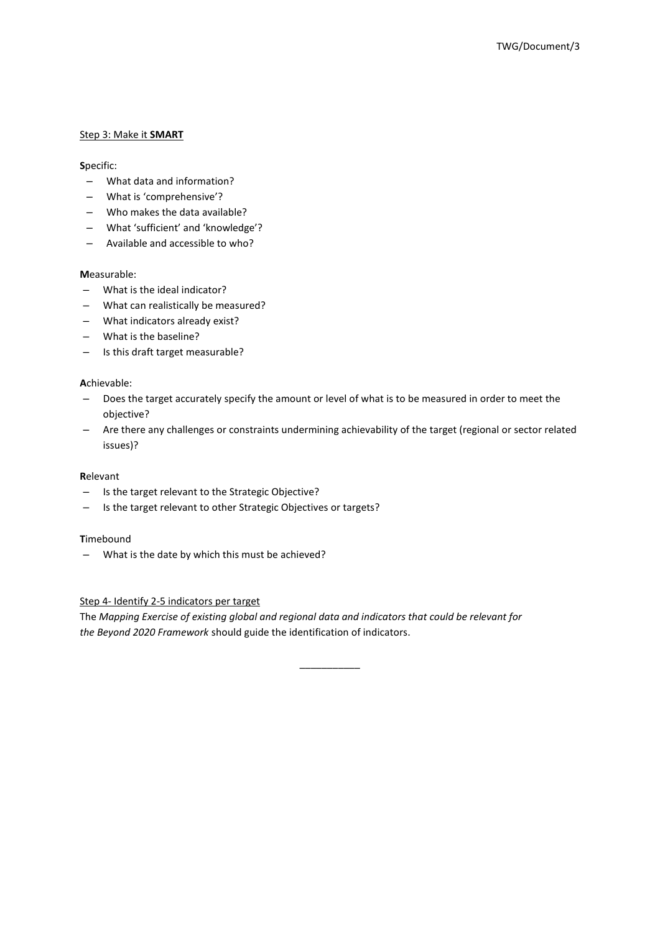## Step 3: Make it **SMART**

## **S**pecific:

- What data and information?
- What is 'comprehensive'?
- Who makes the data available?
- What 'sufficient' and 'knowledge'?
- Available and accessible to who?

# **M**easurable:

- What is the ideal indicator?
- What can realistically be measured?
- What indicators already exist?
- What is the baseline?
- Is this draft target measurable?

## **A**chievable:

- Does the target accurately specify the amount or level of what is to be measured in order to meet the objective?
- Are there any challenges or constraints undermining achievability of the target (regional or sector related issues)?

### **R**elevant

- Is the target relevant to the Strategic Objective?
- Is the target relevant to other Strategic Objectives or targets?

### **T**imebound

– What is the date by which this must be achieved?

## Step 4- Identify 2-5 indicators per target

The *Mapping Exercise of existing global and regional data and indicators that could be relevant for the Beyond 2020 Framework* should guide the identification of indicators.

\_\_\_\_\_\_\_\_\_\_\_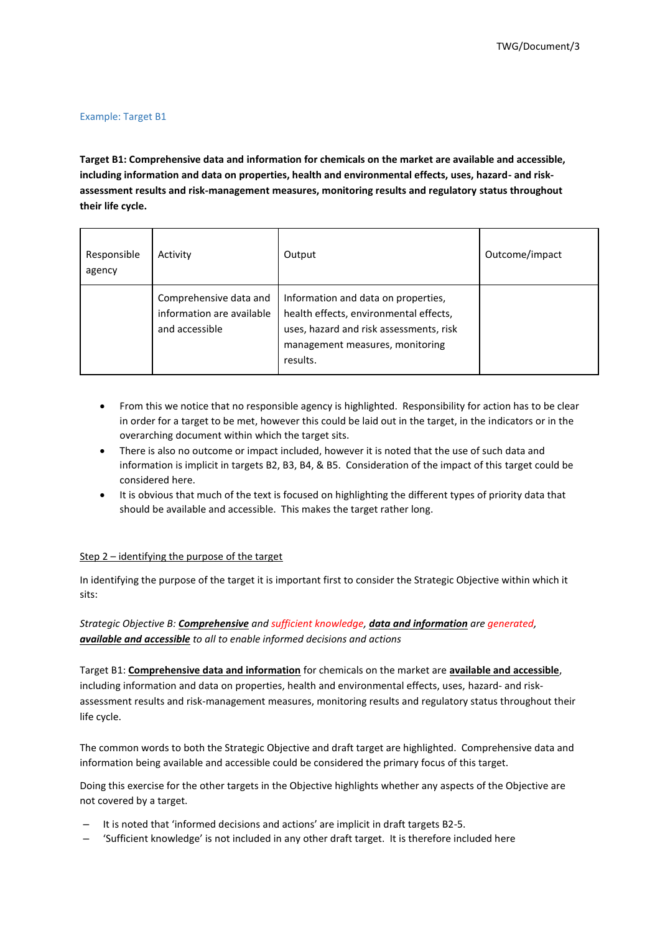#### Example: Target B1

**Target B1: Comprehensive data and information for chemicals on the market are available and accessible, including information and data on properties, health and environmental effects, uses, hazard- and riskassessment results and risk-management measures, monitoring results and regulatory status throughout their life cycle.**

| Responsible<br>agency | Activity                                                              | Output                                                                                                                                                                  | Outcome/impact |
|-----------------------|-----------------------------------------------------------------------|-------------------------------------------------------------------------------------------------------------------------------------------------------------------------|----------------|
|                       | Comprehensive data and<br>information are available<br>and accessible | Information and data on properties,<br>health effects, environmental effects,<br>uses, hazard and risk assessments, risk<br>management measures, monitoring<br>results. |                |

- From this we notice that no responsible agency is highlighted. Responsibility for action has to be clear in order for a target to be met, however this could be laid out in the target, in the indicators or in the overarching document within which the target sits.
- There is also no outcome or impact included, however it is noted that the use of such data and information is implicit in targets B2, B3, B4, & B5. Consideration of the impact of this target could be considered here.
- It is obvious that much of the text is focused on highlighting the different types of priority data that should be available and accessible. This makes the target rather long.

### Step 2 – identifying the purpose of the target

In identifying the purpose of the target it is important first to consider the Strategic Objective within which it sits:

# *Strategic Objective B: Comprehensive and sufficient knowledge, data and information are generated, available and accessible to all to enable informed decisions and actions*

Target B1: **Comprehensive data and information** for chemicals on the market are **available and accessible**, including information and data on properties, health and environmental effects, uses, hazard- and riskassessment results and risk-management measures, monitoring results and regulatory status throughout their life cycle.

The common words to both the Strategic Objective and draft target are highlighted. Comprehensive data and information being available and accessible could be considered the primary focus of this target.

Doing this exercise for the other targets in the Objective highlights whether any aspects of the Objective are not covered by a target.

- It is noted that 'informed decisions and actions' are implicit in draft targets B2-5.
- 'Sufficient knowledge' is not included in any other draft target. It is therefore included here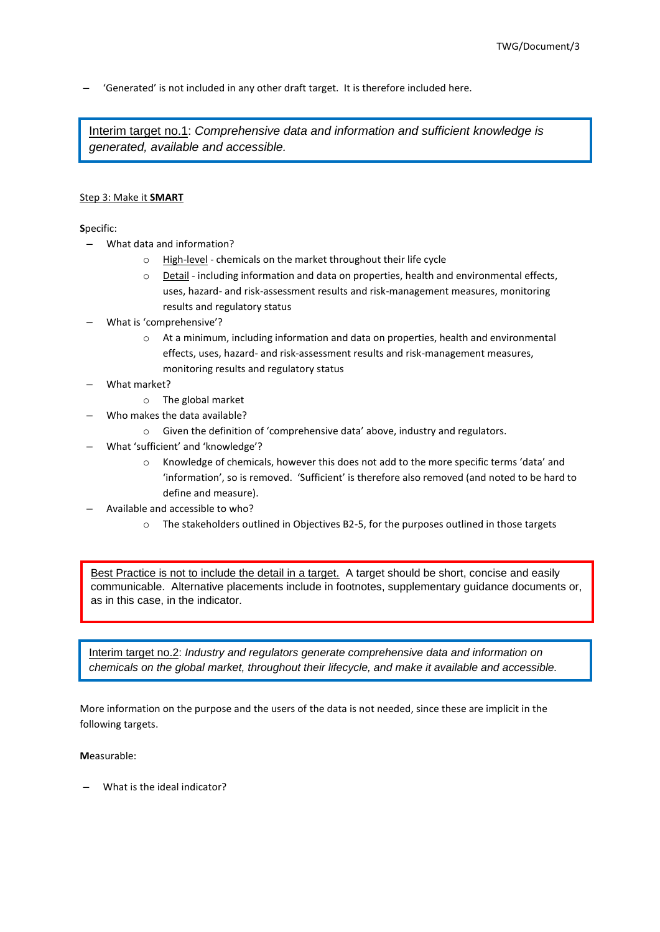– 'Generated' is not included in any other draft target. It is therefore included here.

Interim target no.1: *Comprehensive data and information and sufficient knowledge is generated, available and accessible.*

### Step 3: Make it **SMART**

**S**pecific:

- What data and information?
	- o High-level chemicals on the market throughout their life cycle
	- o Detail including information and data on properties, health and environmental effects, uses, hazard- and risk-assessment results and risk-management measures, monitoring results and regulatory status
- What is 'comprehensive'?
	- o At a minimum, including information and data on properties, health and environmental effects, uses, hazard- and risk-assessment results and risk-management measures, monitoring results and regulatory status
- What market?
	- o The global market
	- Who makes the data available?
		- o Given the definition of 'comprehensive data' above, industry and regulators.
- What 'sufficient' and 'knowledge'?
	- o Knowledge of chemicals, however this does not add to the more specific terms 'data' and 'information', so is removed. 'Sufficient' is therefore also removed (and noted to be hard to define and measure).
- Available and accessible to who?
	- o The stakeholders outlined in Objectives B2-5, for the purposes outlined in those targets

Best Practice is not to include the detail in a target. A target should be short, concise and easily communicable. Alternative placements include in footnotes, supplementary guidance documents or, as in this case, in the indicator.

Interim target no.2: *Industry and regulators generate comprehensive data and information on chemicals on the global market, throughout their lifecycle, and make it available and accessible.*

More information on the purpose and the users of the data is not needed, since these are implicit in the following targets.

### **M**easurable:

– What is the ideal indicator?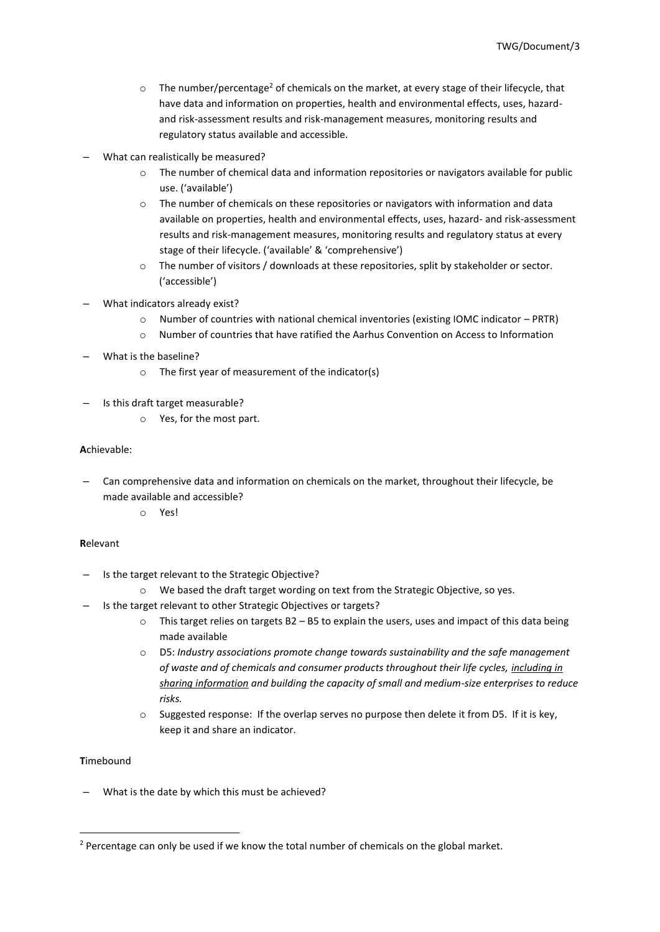- $\circ$  The number/percentage<sup>2</sup> of chemicals on the market, at every stage of their lifecycle, that have data and information on properties, health and environmental effects, uses, hazardand risk-assessment results and risk-management measures, monitoring results and regulatory status available and accessible.
- What can realistically be measured?
	- o The number of chemical data and information repositories or navigators available for public use. ('available')
	- $\circ$  The number of chemicals on these repositories or navigators with information and data available on properties, health and environmental effects, uses, hazard- and risk-assessment results and risk-management measures, monitoring results and regulatory status at every stage of their lifecycle. ('available' & 'comprehensive')
	- o The number of visitors / downloads at these repositories, split by stakeholder or sector. ('accessible')
- What indicators already exist?
	- o Number of countries with national chemical inventories (existing IOMC indicator PRTR)
	- o Number of countries that have ratified the Aarhus Convention on Access to Information
- What is the baseline?
	- o The first year of measurement of the indicator(s)
- Is this draft target measurable?
	- o Yes, for the most part.

### **A**chievable:

- Can comprehensive data and information on chemicals on the market, throughout their lifecycle, be made available and accessible?
	- o Yes!

### **R**elevant

- Is the target relevant to the Strategic Objective?
	- o We based the draft target wording on text from the Strategic Objective, so yes.
- Is the target relevant to other Strategic Objectives or targets?
	- $\circ$  This target relies on targets B2 B5 to explain the users, uses and impact of this data being made available
	- o D5: *Industry associations promote change towards sustainability and the safe management of waste and of chemicals and consumer products throughout their life cycles, including in sharing information and building the capacity of small and medium-size enterprises to reduce risks.*
	- $\circ$  Suggested response: If the overlap serves no purpose then delete it from D5. If it is key, keep it and share an indicator.

### **T**imebound

– What is the date by which this must be achieved?

<sup>&</sup>lt;sup>2</sup> Percentage can only be used if we know the total number of chemicals on the global market.